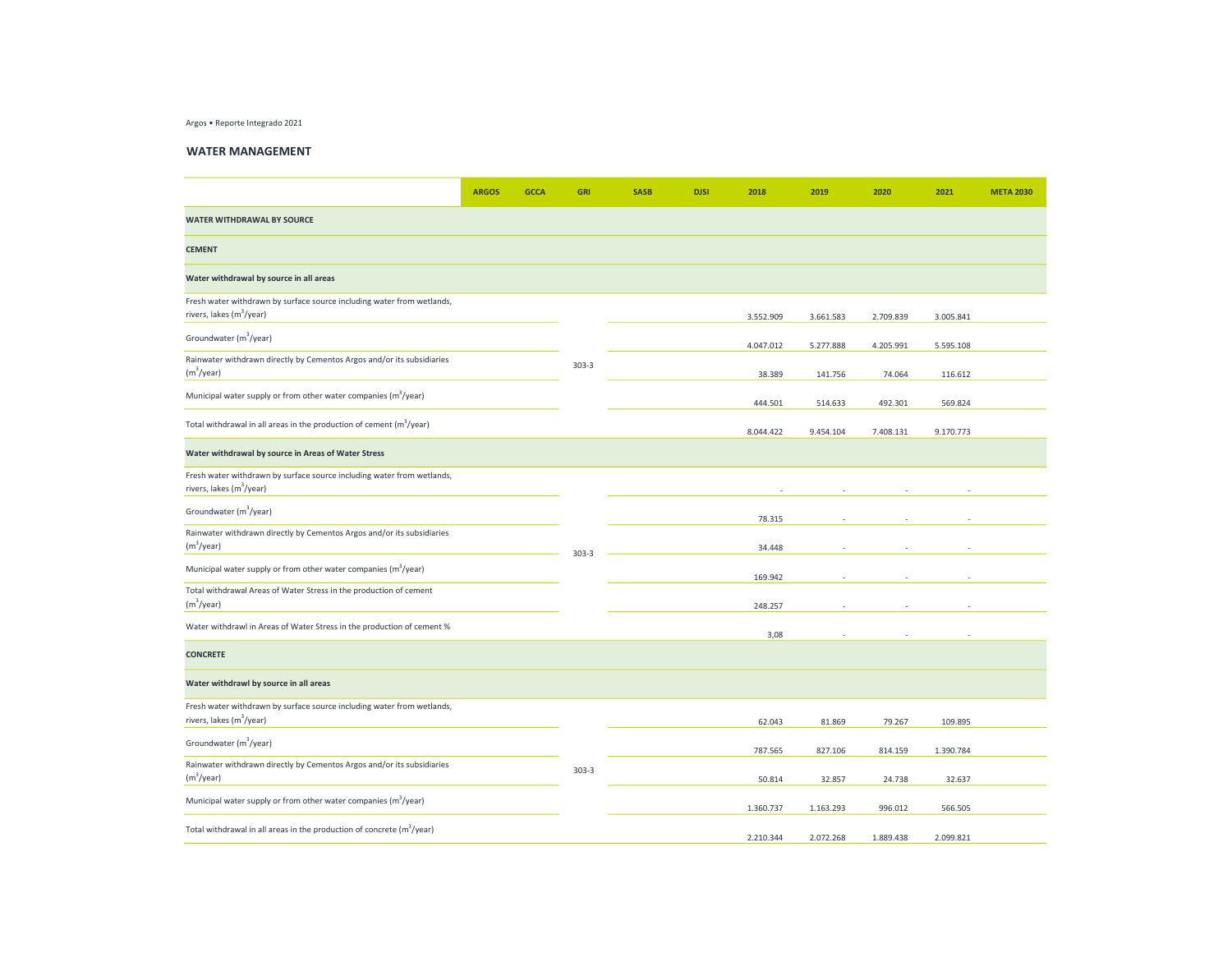Argos • Reporte Integrado 2021

## WATER MANAGEMENT

|                                                                                                                | <b>ARGOS</b> | <b>GCCA</b> | <b>GRI</b> | <b>SASB</b> | <b>DJSI</b> | 2018      | 2019      | 2020      | 2021      | <b>META 2030</b> |
|----------------------------------------------------------------------------------------------------------------|--------------|-------------|------------|-------------|-------------|-----------|-----------|-----------|-----------|------------------|
| <b>WATER WITHDRAWAL BY SOURCE</b>                                                                              |              |             |            |             |             |           |           |           |           |                  |
| <b>CEMENT</b>                                                                                                  |              |             |            |             |             |           |           |           |           |                  |
| Water withdrawal by source in all areas                                                                        |              |             |            |             |             |           |           |           |           |                  |
| Fresh water withdrawn by surface source including water from wetlands,<br>rivers, lakes (m <sup>3</sup> /year) |              |             |            |             |             | 3.552.909 | 3.661.583 | 2.709.839 | 3.005.841 |                  |
| Groundwater (m <sup>3</sup> /year)                                                                             |              |             |            |             |             | 4.047.012 | 5.277.888 | 4.205.991 | 5.595.108 |                  |
| Rainwater withdrawn directly by Cementos Argos and/or its subsidiaries<br>(m <sup>3</sup> /year)               |              |             | $303 - 3$  |             |             | 38.389    | 141.756   | 74.064    | 116.612   |                  |
| Municipal water supply or from other water companies (m <sup>3</sup> /year)                                    |              |             |            |             |             | 444.501   | 514.633   | 492.301   | 569.824   |                  |
| Total withdrawal in all areas in the production of cement $(m^3$ /year)                                        |              |             |            |             |             | 8.044.422 | 9.454.104 | 7.408.131 | 9.170.773 |                  |
| Water withdrawal by source in Areas of Water Stress                                                            |              |             |            |             |             |           |           |           |           |                  |
| Fresh water withdrawn by surface source including water from wetlands,<br>rivers, lakes (m <sup>3</sup> /year) |              |             |            |             |             |           |           |           |           |                  |
| Groundwater (m <sup>3</sup> /year)                                                                             |              |             |            |             |             | 78.315    |           |           |           |                  |
| Rainwater withdrawn directly by Cementos Argos and/or its subsidiaries<br>(m <sup>3</sup> /year)               |              |             | $303 - 3$  |             |             | 34.448    |           |           |           |                  |
| Municipal water supply or from other water companies (m <sup>3</sup> /year)                                    |              |             |            |             |             | 169.942   |           |           |           |                  |
| Total withdrawal Areas of Water Stress in the production of cement<br>(m <sup>3</sup> /year)                   |              |             |            |             |             | 248.257   |           |           |           |                  |
| Water withdrawl in Areas of Water Stress in the production of cement %                                         |              |             |            |             |             | 3,08      |           |           |           |                  |
| <b>CONCRETE</b>                                                                                                |              |             |            |             |             |           |           |           |           |                  |
| Water withdrawl by source in all areas                                                                         |              |             |            |             |             |           |           |           |           |                  |
| Fresh water withdrawn by surface source including water from wetlands,<br>rivers, lakes (m <sup>3</sup> /year) |              |             |            |             |             | 62.043    | 81.869    | 79.267    | 109.895   |                  |
| Groundwater (m <sup>3</sup> /year)                                                                             |              |             |            |             |             | 787.565   | 827.106   | 814.159   | 1.390.784 |                  |
| Rainwater withdrawn directly by Cementos Argos and/or its subsidiaries<br>(m <sup>3</sup> /year)               |              |             | $303 - 3$  |             |             | 50.814    | 32.857    | 24.738    | 32.637    |                  |
| Municipal water supply or from other water companies (m <sup>3</sup> /year)                                    |              |             |            |             |             | 1.360.737 | 1.163.293 | 996.012   | 566.505   |                  |
| Total withdrawal in all areas in the production of concrete $(m^3$ /year)                                      |              |             |            |             |             | 2.210.344 | 2.072.268 | 1.889.438 | 2.099.821 |                  |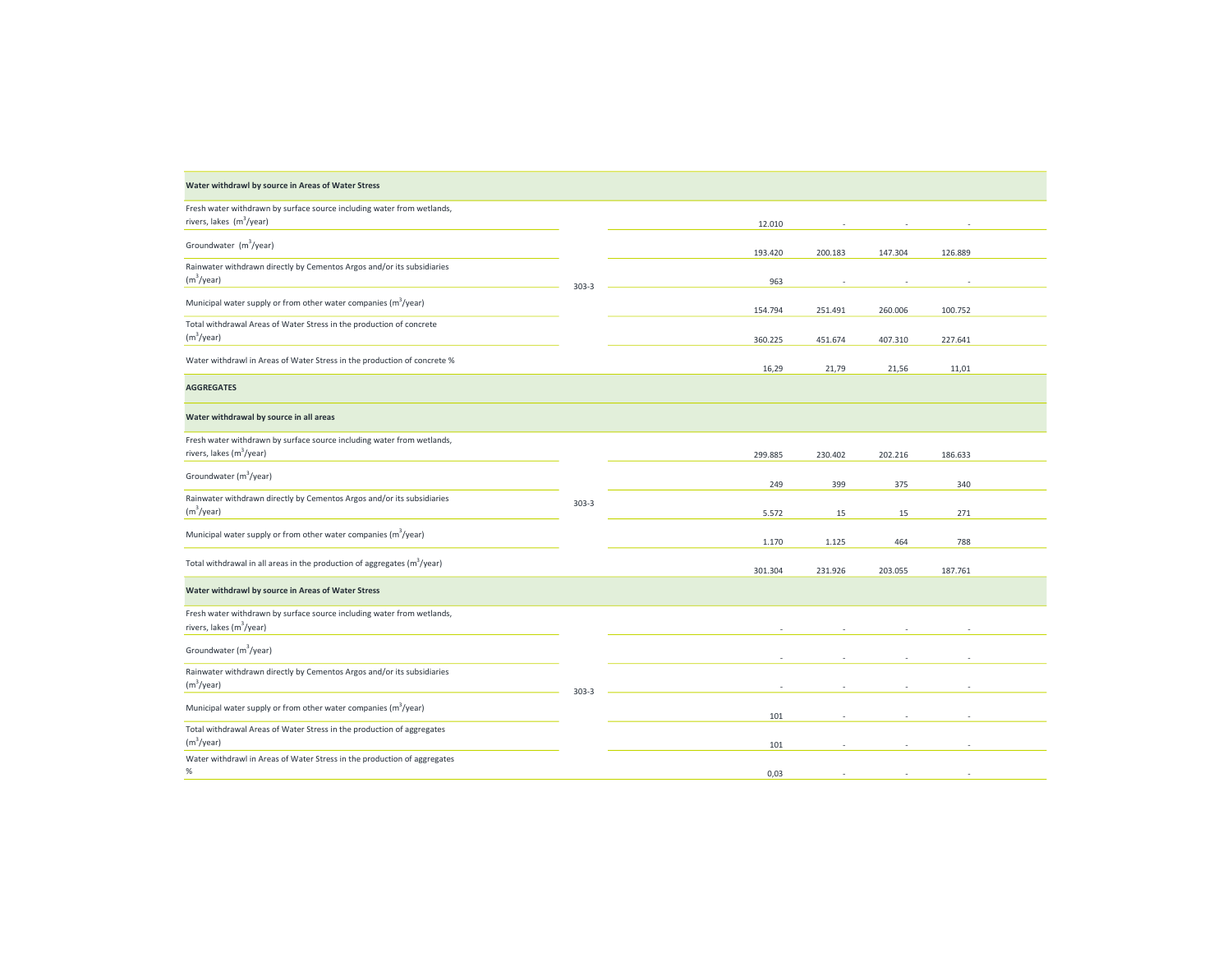| Water withdrawl by source in Areas of Water Stress                                                             |           |         |         |         |         |  |
|----------------------------------------------------------------------------------------------------------------|-----------|---------|---------|---------|---------|--|
| Fresh water withdrawn by surface source including water from wetlands,<br>rivers, lakes (m <sup>3</sup> /year) |           | 12.010  |         |         |         |  |
| Groundwater (m <sup>3</sup> /year)                                                                             |           | 193.420 | 200.183 | 147.304 | 126.889 |  |
| Rainwater withdrawn directly by Cementos Argos and/or its subsidiaries<br>(m <sup>3</sup> /year)               | $303 - 3$ | 963     |         |         |         |  |
| Municipal water supply or from other water companies (m <sup>3</sup> /year)                                    |           | 154.794 | 251.491 | 260.006 | 100.752 |  |
| Total withdrawal Areas of Water Stress in the production of concrete<br>(m <sup>3</sup> /year)                 |           | 360.225 | 451.674 | 407.310 | 227.641 |  |
| Water withdrawl in Areas of Water Stress in the production of concrete %                                       |           | 16,29   | 21,79   | 21,56   | 11,01   |  |
| <b>AGGREGATES</b>                                                                                              |           |         |         |         |         |  |
| Water withdrawal by source in all areas                                                                        |           |         |         |         |         |  |
| Fresh water withdrawn by surface source including water from wetlands,<br>rivers, lakes (m <sup>3</sup> /year) |           | 299.885 | 230.402 | 202.216 | 186.633 |  |
| Groundwater (m <sup>3</sup> /year)                                                                             |           | 249     | 399     | 375     | 340     |  |
| Rainwater withdrawn directly by Cementos Argos and/or its subsidiaries<br>(m <sup>3</sup> /year)               | $303 - 3$ | 5.572   | 15      | 15      | 271     |  |
| Municipal water supply or from other water companies (m <sup>3</sup> /year)                                    |           | 1.170   | 1.125   | 464     | 788     |  |
| Total withdrawal in all areas in the production of aggregates $(m^3$ /year)                                    |           | 301.304 | 231.926 | 203.055 | 187.761 |  |
| Water withdrawl by source in Areas of Water Stress                                                             |           |         |         |         |         |  |
| Fresh water withdrawn by surface source including water from wetlands,<br>rivers, lakes (m <sup>3</sup> /year) |           |         |         |         |         |  |
| Groundwater (m <sup>3</sup> /year)                                                                             |           |         |         |         |         |  |
| Rainwater withdrawn directly by Cementos Argos and/or its subsidiaries<br>(m <sup>3</sup> /year)               | $303 - 3$ |         |         |         |         |  |
| Municipal water supply or from other water companies (m <sup>3</sup> /year)                                    |           | 101     |         |         |         |  |
| Total withdrawal Areas of Water Stress in the production of aggregates<br>(m <sup>3</sup> /year)               |           | 101     |         |         |         |  |
| Water withdrawl in Areas of Water Stress in the production of aggregates<br>$\%$                               |           | 0,03    |         |         |         |  |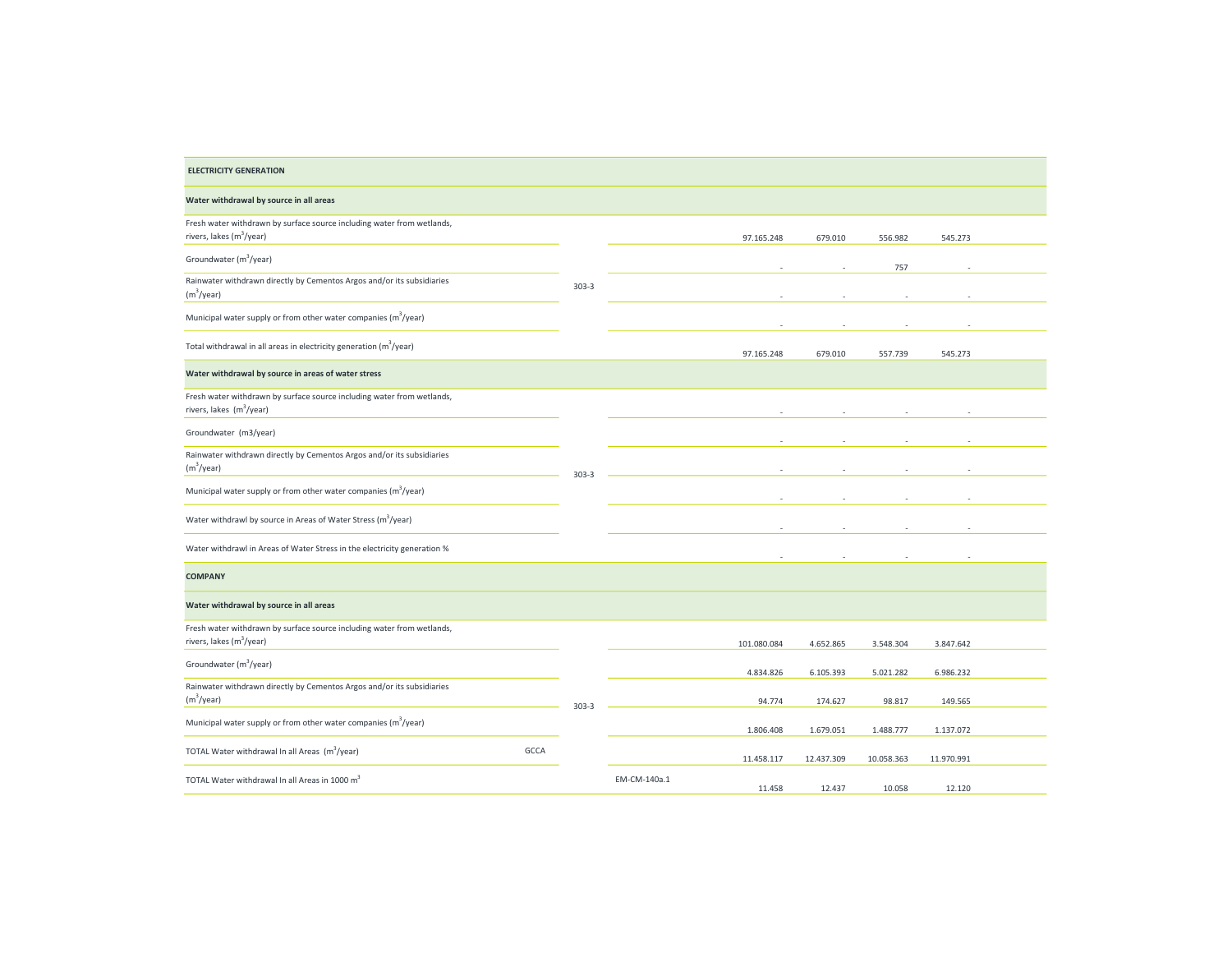| <b>ELECTRICITY GENERATION</b>                                                                                  |           |                        |            |            |            |  |
|----------------------------------------------------------------------------------------------------------------|-----------|------------------------|------------|------------|------------|--|
| Water withdrawal by source in all areas                                                                        |           |                        |            |            |            |  |
| Fresh water withdrawn by surface source including water from wetlands,<br>rivers, lakes (m <sup>3</sup> /year) |           | 97.165.248             | 679.010    | 556.982    | 545.273    |  |
| Groundwater (m <sup>3</sup> /year)                                                                             |           |                        |            | 757        |            |  |
| Rainwater withdrawn directly by Cementos Argos and/or its subsidiaries<br>(m <sup>3</sup> /year)               | $303 - 3$ |                        |            |            |            |  |
| Municipal water supply or from other water companies (m <sup>3</sup> /year)                                    |           |                        |            |            |            |  |
| Total withdrawal in all areas in electricity generation (m <sup>3</sup> /year)                                 |           | 97.165.248             | 679.010    | 557.739    | 545.273    |  |
| Water withdrawal by source in areas of water stress                                                            |           |                        |            |            |            |  |
| Fresh water withdrawn by surface source including water from wetlands,<br>rivers, lakes (m <sup>3</sup> /year) |           |                        |            |            |            |  |
| Groundwater (m3/year)                                                                                          |           |                        |            |            |            |  |
| Rainwater withdrawn directly by Cementos Argos and/or its subsidiaries<br>(m <sup>3</sup> /year)               | $303 - 3$ |                        |            |            |            |  |
| Municipal water supply or from other water companies (m <sup>3</sup> /year)                                    |           |                        |            |            |            |  |
| Water withdrawl by source in Areas of Water Stress (m <sup>3</sup> /year)                                      |           |                        |            |            |            |  |
| Water withdrawl in Areas of Water Stress in the electricity generation %                                       |           |                        |            |            |            |  |
| <b>COMPANY</b>                                                                                                 |           |                        |            |            |            |  |
| Water withdrawal by source in all areas                                                                        |           |                        |            |            |            |  |
| Fresh water withdrawn by surface source including water from wetlands,<br>rivers, lakes (m <sup>3</sup> /year) |           | 101.080.084            | 4.652.865  | 3.548.304  | 3.847.642  |  |
| Groundwater (m <sup>3</sup> /year)                                                                             |           | 4.834.826              | 6.105.393  | 5.021.282  | 6.986.232  |  |
| Rainwater withdrawn directly by Cementos Argos and/or its subsidiaries<br>(m <sup>3</sup> /year)               | $303 - 3$ | 94.774                 | 174.627    | 98.817     | 149.565    |  |
| Municipal water supply or from other water companies (m <sup>3</sup> /year)                                    |           | 1.806.408              | 1.679.051  | 1.488.777  | 1.137.072  |  |
| TOTAL Water withdrawal In all Areas (m <sup>3</sup> /year)<br><b>GCCA</b>                                      |           | 11.458.117             | 12.437.309 | 10.058.363 | 11.970.991 |  |
| TOTAL Water withdrawal In all Areas in 1000 m <sup>3</sup>                                                     |           | EM-CM-140a.1<br>11.458 | 12.437     | 10.058     | 12.120     |  |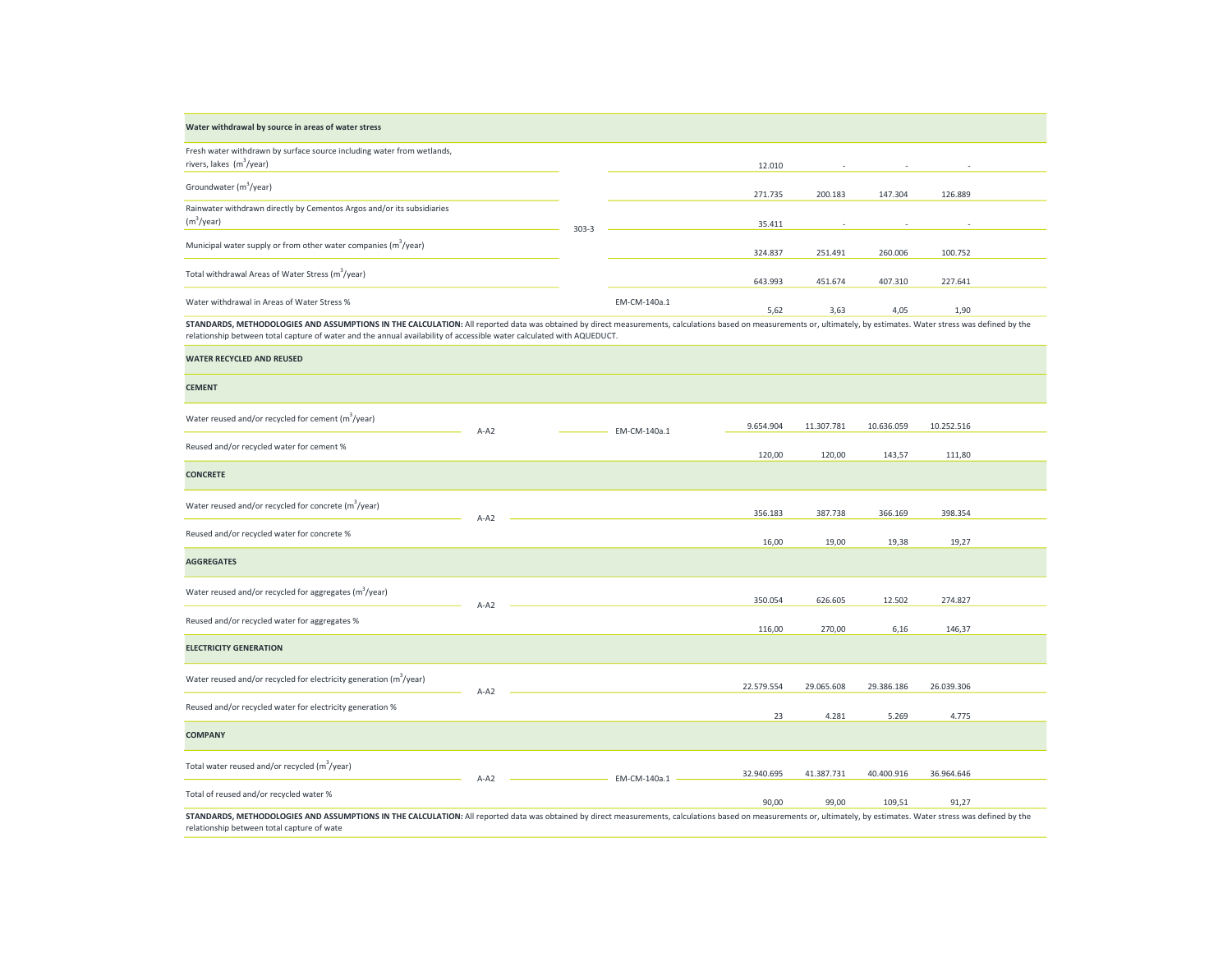| Water withdrawal by source in areas of water stress                         |           |              |         |         |         |                          |  |
|-----------------------------------------------------------------------------|-----------|--------------|---------|---------|---------|--------------------------|--|
| Fresh water withdrawn by surface source including water from wetlands,      |           |              |         |         |         |                          |  |
| rivers, lakes $(m^3$ /year)                                                 |           |              | 12.010  | $\sim$  | $\sim$  | $\sim$                   |  |
| Groundwater (m <sup>3</sup> /year)                                          |           |              |         |         |         |                          |  |
|                                                                             |           |              | 271.735 | 200.183 | 147.304 | 126.889                  |  |
| Rainwater withdrawn directly by Cementos Argos and/or its subsidiaries      |           |              |         |         |         |                          |  |
| $(m^3$ /year)                                                               | $303 - 3$ |              | 35.411  | $\sim$  | $\sim$  | $\overline{\phantom{a}}$ |  |
| Municipal water supply or from other water companies (m <sup>3</sup> /year) |           |              |         |         |         |                          |  |
|                                                                             |           |              | 324.837 | 251.491 | 260.006 | 100.752                  |  |
| Total withdrawal Areas of Water Stress (m <sup>3</sup> /year)               |           |              |         |         |         |                          |  |
|                                                                             |           |              | 643.993 | 451.674 | 407.310 | 227.641                  |  |
| Water withdrawal in Areas of Water Stress %                                 |           | EM-CM-140a.1 |         |         |         |                          |  |
|                                                                             |           |              | 5,62    | 3,63    | 4,05    | 1,90                     |  |

STANDARDS, METHODOLOGIES AND ASSUMPTIONS IN THE CALCULATION: All reported data was obtained by direct measurements, calculations based on measurements or, ultimately, by estimates. Water stress was defined by the relationship between total capture of water and the annual availability of accessible water calculated with AQUEDUCT.

| <b>WATER RECYCLED AND REUSED</b>                                                                                                                                                                                                                                   |        |              |            |            |            |            |  |
|--------------------------------------------------------------------------------------------------------------------------------------------------------------------------------------------------------------------------------------------------------------------|--------|--------------|------------|------------|------------|------------|--|
| <b>CEMENT</b>                                                                                                                                                                                                                                                      |        |              |            |            |            |            |  |
| Water reused and/or recycled for cement $(m^3$ /year)                                                                                                                                                                                                              | $A-A2$ | EM-CM-140a.1 | 9.654.904  | 11.307.781 | 10.636.059 | 10.252.516 |  |
| Reused and/or recycled water for cement %                                                                                                                                                                                                                          |        |              | 120,00     | 120,00     | 143,57     | 111,80     |  |
| <b>CONCRETE</b>                                                                                                                                                                                                                                                    |        |              |            |            |            |            |  |
| Water reused and/or recycled for concrete $(m^3$ /year)                                                                                                                                                                                                            | $A-A2$ |              | 356.183    | 387.738    | 366.169    | 398.354    |  |
| Reused and/or recycled water for concrete %                                                                                                                                                                                                                        |        |              | 16,00      | 19,00      | 19,38      | 19,27      |  |
| <b>AGGREGATES</b>                                                                                                                                                                                                                                                  |        |              |            |            |            |            |  |
| Water reused and/or recycled for aggregates $(m^3$ /year)                                                                                                                                                                                                          | $A-A2$ |              | 350.054    | 626.605    | 12.502     | 274.827    |  |
| Reused and/or recycled water for aggregates %                                                                                                                                                                                                                      |        |              | 116,00     | 270,00     | 6,16       | 146,37     |  |
| <b>ELECTRICITY GENERATION</b>                                                                                                                                                                                                                                      |        |              |            |            |            |            |  |
| Water reused and/or recycled for electricity generation (m <sup>3</sup> /year)                                                                                                                                                                                     | $A-A2$ |              | 22.579.554 | 29.065.608 | 29.386.186 | 26.039.306 |  |
| Reused and/or recycled water for electricity generation %                                                                                                                                                                                                          |        |              | 23         | 4.281      | 5.269      | 4.775      |  |
| <b>COMPANY</b>                                                                                                                                                                                                                                                     |        |              |            |            |            |            |  |
| Total water reused and/or recycled (m <sup>3</sup> /year)                                                                                                                                                                                                          | $A-A2$ | EM-CM-140a.1 | 32.940.695 | 41.387.731 | 40.400.916 | 36.964.646 |  |
| Total of reused and/or recycled water %                                                                                                                                                                                                                            |        |              | 90,00      | 99,00      | 109,51     | 91,27      |  |
| STANDARDS, METHODOLOGIES AND ASSUMPTIONS IN THE CALCULATION: All reported data was obtained by direct measurements, calculations based on measurements or, ultimately, by estimates. Water stress was defined by the<br>relationship between total capture of wate |        |              |            |            |            |            |  |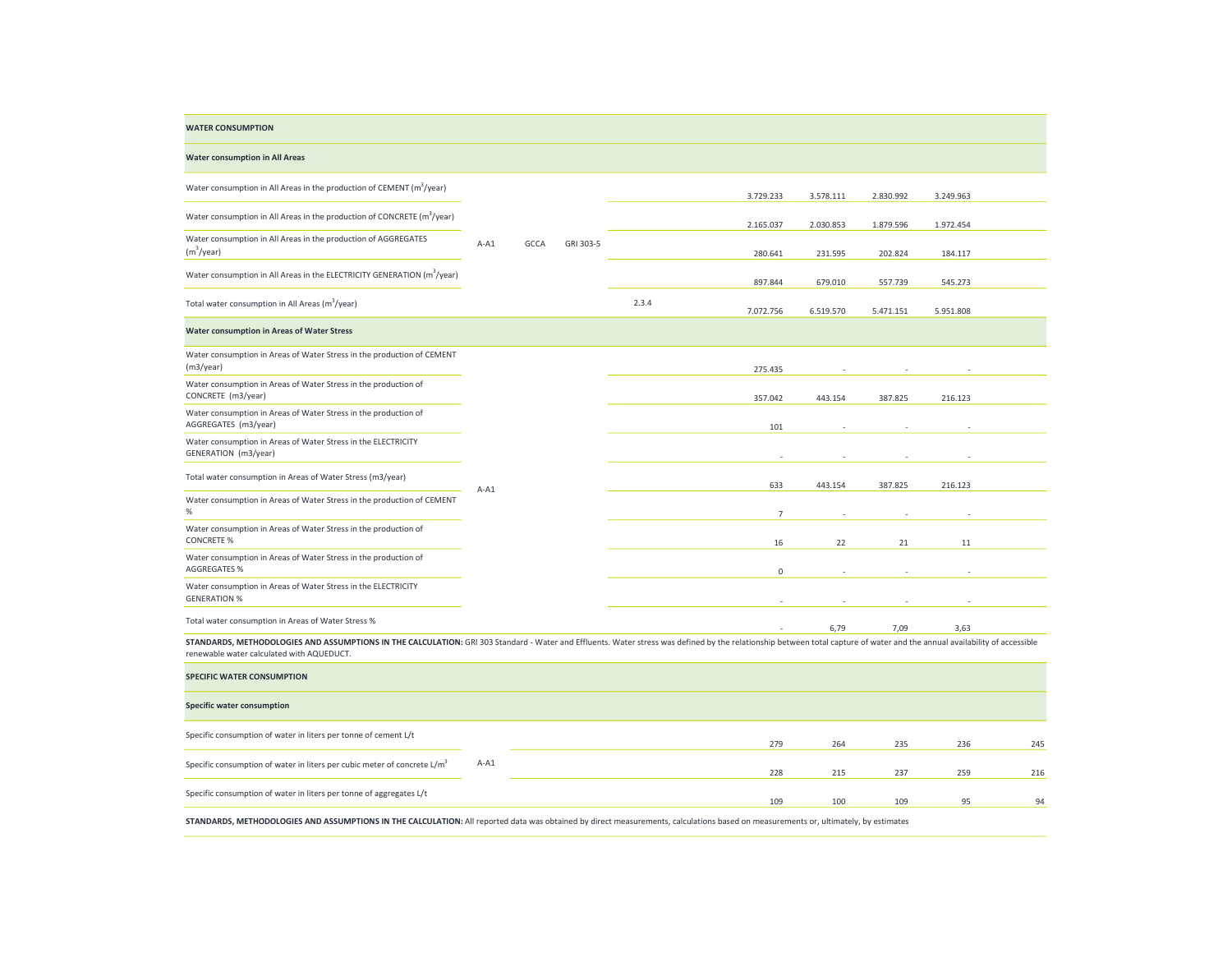| <b>WATER CONSUMPTION</b>                                                                                                                                                                                                                                                |        |      |           |       |                |           |           |           |     |
|-------------------------------------------------------------------------------------------------------------------------------------------------------------------------------------------------------------------------------------------------------------------------|--------|------|-----------|-------|----------------|-----------|-----------|-----------|-----|
| <b>Water consumption in All Areas</b>                                                                                                                                                                                                                                   |        |      |           |       |                |           |           |           |     |
| Water consumption in All Areas in the production of CEMENT ( $m^3$ /year)                                                                                                                                                                                               |        |      |           |       | 3.729.233      | 3.578.111 | 2.830.992 | 3.249.963 |     |
| Water consumption in All Areas in the production of CONCRETE (m <sup>3</sup> /year)                                                                                                                                                                                     |        |      |           |       | 2.165.037      | 2.030.853 | 1.879.596 | 1.972.454 |     |
| Water consumption in All Areas in the production of AGGREGATES<br>(m <sup>3</sup> /year)                                                                                                                                                                                | $A-A1$ | GCCA | GRI 303-5 |       | 280.641        | 231.595   | 202.824   | 184.117   |     |
| Water consumption in All Areas in the ELECTRICITY GENERATION (m <sup>3</sup> /year)                                                                                                                                                                                     |        |      |           |       | 897.844        | 679.010   | 557.739   | 545.273   |     |
| Total water consumption in All Areas (m <sup>3</sup> /year)                                                                                                                                                                                                             |        |      |           | 2.3.4 | 7.072.756      | 6.519.570 | 5.471.151 | 5.951.808 |     |
| Water consumption in Areas of Water Stress                                                                                                                                                                                                                              |        |      |           |       |                |           |           |           |     |
| Water consumption in Areas of Water Stress in the production of CEMENT<br>(m3/year)                                                                                                                                                                                     |        |      |           |       | 275.435        |           |           |           |     |
| Water consumption in Areas of Water Stress in the production of<br>CONCRETE (m3/year)                                                                                                                                                                                   |        |      |           |       | 357.042        | 443.154   | 387.825   | 216.123   |     |
| Water consumption in Areas of Water Stress in the production of<br>AGGREGATES (m3/year)                                                                                                                                                                                 |        |      |           |       | 101            |           |           |           |     |
| Water consumption in Areas of Water Stress in the ELECTRICITY<br>GENERATION (m3/year)                                                                                                                                                                                   |        |      |           |       |                |           |           |           |     |
| Total water consumption in Areas of Water Stress (m3/year)                                                                                                                                                                                                              | $A-A1$ |      |           |       | 633            | 443.154   | 387.825   | 216.123   |     |
| Water consumption in Areas of Water Stress in the production of CEMENT<br>$\%$                                                                                                                                                                                          |        |      |           |       | $\overline{7}$ |           |           |           |     |
| Water consumption in Areas of Water Stress in the production of<br><b>CONCRETE %</b>                                                                                                                                                                                    |        |      |           |       | 16             | 22        | 21        | 11        |     |
| Water consumption in Areas of Water Stress in the production of<br><b>AGGREGATES %</b>                                                                                                                                                                                  |        |      |           |       | $\mathsf 0$    |           |           |           |     |
| Water consumption in Areas of Water Stress in the ELECTRICITY<br><b>GENERATION %</b>                                                                                                                                                                                    |        |      |           |       |                |           |           |           |     |
| Total water consumption in Areas of Water Stress %                                                                                                                                                                                                                      |        |      |           |       |                | 6,79      | 7,09      | 3,63      |     |
| STANDARDS, METHODOLOGIES AND ASSUMPTIONS IN THE CALCULATION: GRI 303 Standard - Water and Effluents. Water stress was defined by the relationship between total capture of water and the annual availability of accessible<br>renewable water calculated with AQUEDUCT. |        |      |           |       |                |           |           |           |     |
| <b>SPECIFIC WATER CONSUMPTION</b>                                                                                                                                                                                                                                       |        |      |           |       |                |           |           |           |     |
| <b>Specific water consumption</b>                                                                                                                                                                                                                                       |        |      |           |       |                |           |           |           |     |
| Specific consumption of water in liters per tonne of cement L/t                                                                                                                                                                                                         |        |      |           |       | 279            | 264       | 235       | 236       | 245 |
| Specific consumption of water in liters per cubic meter of concrete L/m <sup>3</sup>                                                                                                                                                                                    | $A-A1$ |      |           |       | 228            | 215       | 237       | 259       | 216 |
| Specific consumption of water in liters per tonne of aggregates L/t                                                                                                                                                                                                     |        |      |           |       | 109            | 100       | 109       | 95        | 94  |
| STANDARDS, METHODOLOGIES AND ASSUMPTIONS IN THE CALCULATION: All reported data was obtained by direct measurements, calculations based on measurements or, ultimately, by estimates                                                                                     |        |      |           |       |                |           |           |           |     |

 $\overline{\phantom{a}}$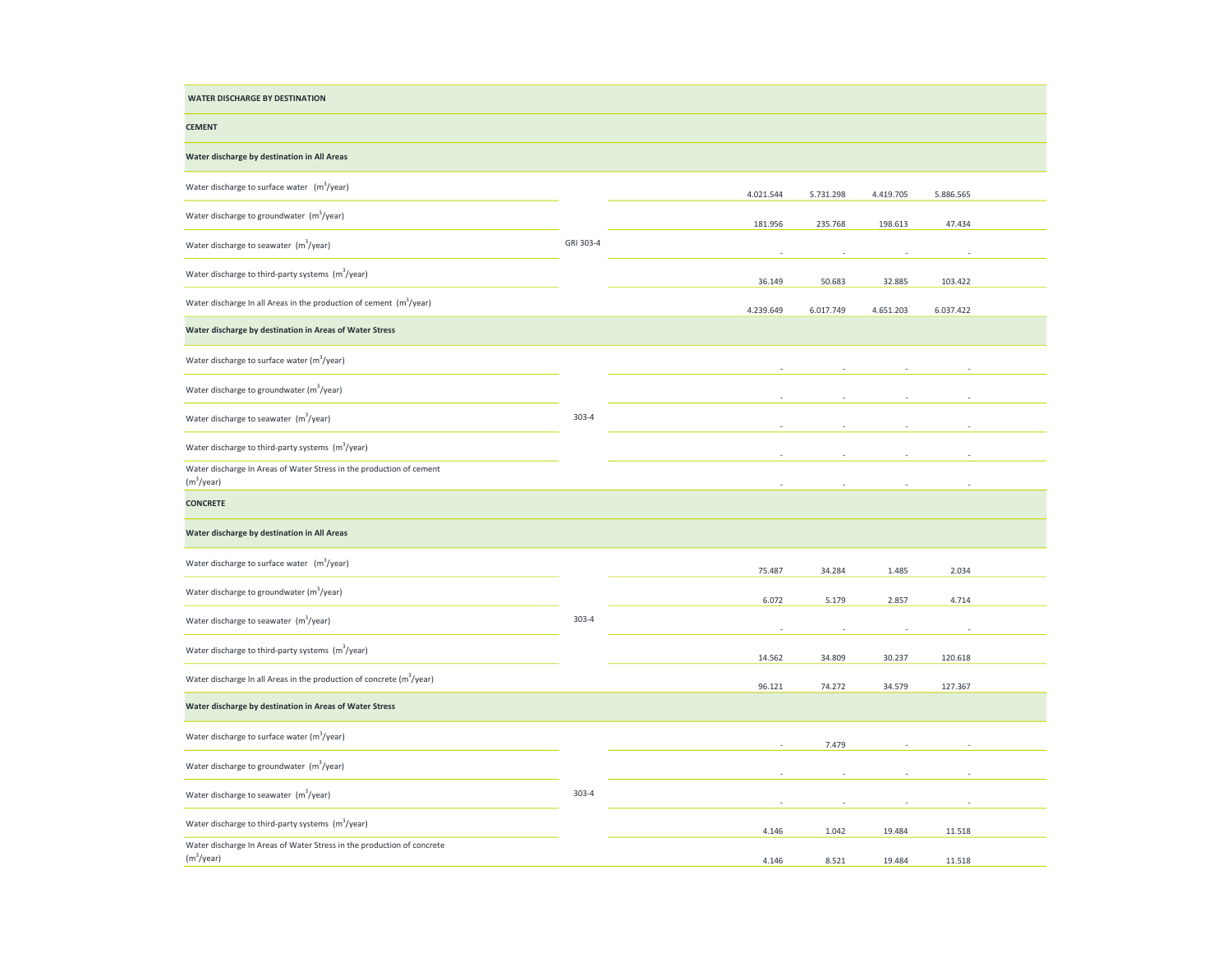| <b>WATER DISCHARGE BY DESTINATION</b>                                                            |           |           |           |           |           |  |
|--------------------------------------------------------------------------------------------------|-----------|-----------|-----------|-----------|-----------|--|
| <b>CEMENT</b>                                                                                    |           |           |           |           |           |  |
| Water discharge by destination in All Areas                                                      |           |           |           |           |           |  |
| Water discharge to surface water (m <sup>3</sup> /year)                                          |           | 4.021.544 | 5.731.298 | 4.419.705 | 5.886.565 |  |
| Water discharge to groundwater (m <sup>3</sup> /year)                                            |           | 181.956   | 235.768   | 198.613   | 47.434    |  |
| Water discharge to seawater (m <sup>3</sup> /year)                                               | GRI 303-4 |           |           |           |           |  |
| Water discharge to third-party systems (m <sup>3</sup> /year)                                    |           | 36.149    | 50.683    | 32.885    | 103.422   |  |
| Water discharge In all Areas in the production of cement $(m^3$ /year)                           |           | 4.239.649 | 6.017.749 | 4.651.203 | 6.037.422 |  |
| Water discharge by destination in Areas of Water Stress                                          |           |           |           |           |           |  |
| Water discharge to surface water $(m^3$ /year)                                                   |           |           |           |           |           |  |
| Water discharge to groundwater (m <sup>3</sup> /year)                                            | $303 - 4$ |           |           |           |           |  |
| Water discharge to seawater (m <sup>3</sup> /year)                                               |           |           |           |           |           |  |
| Water discharge to third-party systems $(m^3$ /year)                                             |           |           |           |           |           |  |
| Water discharge In Areas of Water Stress in the production of cement<br>(m <sup>3</sup> /year)   |           |           |           |           |           |  |
| <b>CONCRETE</b>                                                                                  |           |           |           |           |           |  |
| Water discharge by destination in All Areas                                                      |           |           |           |           |           |  |
| Water discharge to surface water (m <sup>3</sup> /year)                                          |           | 75.487    | 34.284    | 1.485     | 2.034     |  |
| Water discharge to groundwater (m <sup>3</sup> /year)                                            |           | 6.072     | 5.179     | 2.857     | 4.714     |  |
| Water discharge to seawater (m <sup>3</sup> /year)                                               | $303 - 4$ |           |           |           |           |  |
| Water discharge to third-party systems (m <sup>3</sup> /year)                                    |           | 14.562    | 34.809    | 30.237    | 120.618   |  |
| Water discharge In all Areas in the production of concrete $(m^3$ /year)                         |           | 96.121    | 74.272    | 34.579    | 127.367   |  |
| Water discharge by destination in Areas of Water Stress                                          |           |           |           |           |           |  |
| Water discharge to surface water (m <sup>3</sup> /year)                                          |           |           | 7.479     |           |           |  |
| Water discharge to groundwater (m <sup>3</sup> /year)                                            |           |           |           |           |           |  |
| Water discharge to seawater (m <sup>3</sup> /year)                                               | $303 - 4$ |           |           |           |           |  |
| Water discharge to third-party systems (m <sup>3</sup> /year)                                    |           | 4.146     | 1.042     | 19.484    | 11.518    |  |
| Water discharge In Areas of Water Stress in the production of concrete<br>(m <sup>3</sup> /year) |           | 4.146     | 8.521     | 19.484    | 11.518    |  |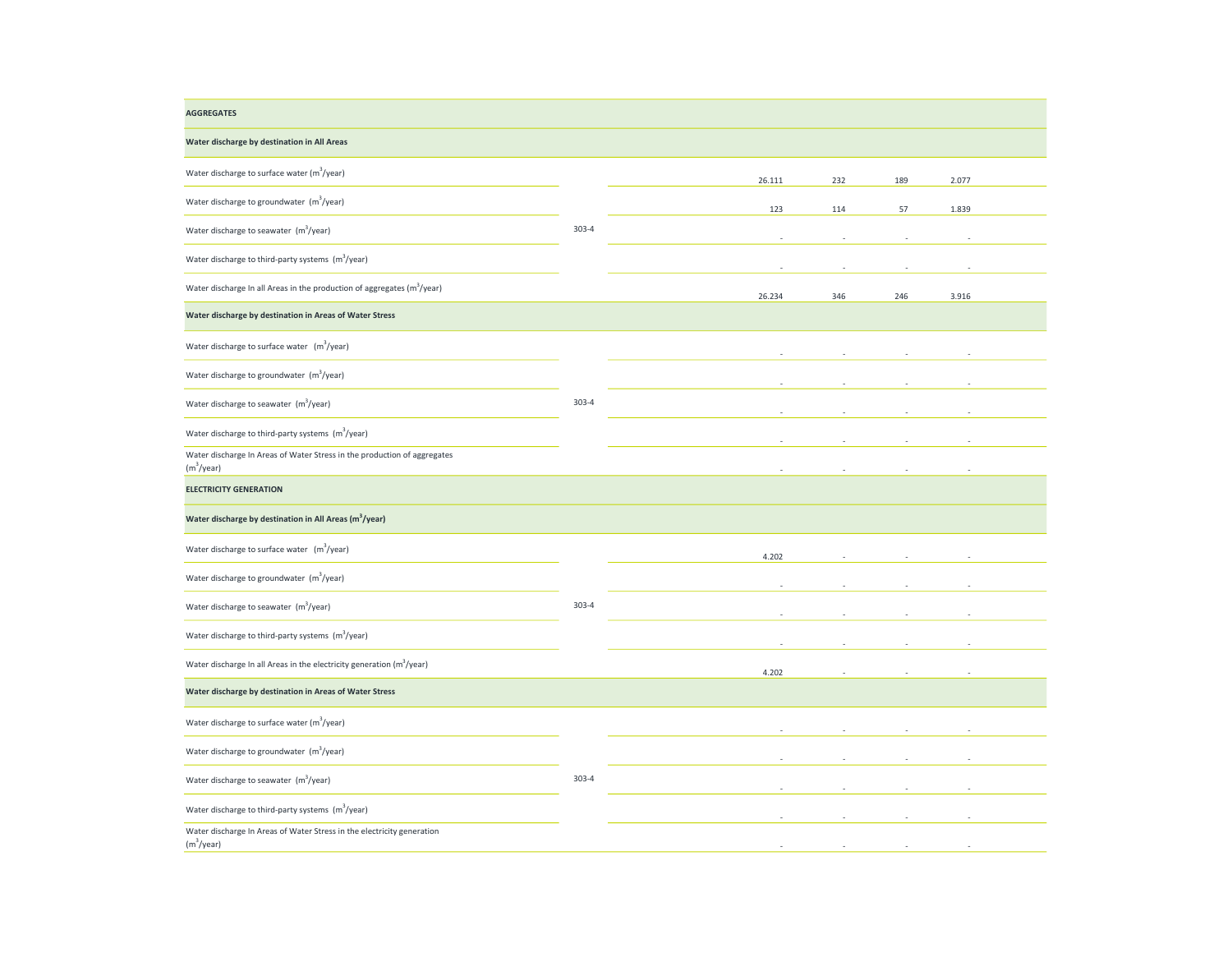| <b>AGGREGATES</b>                                                                                  |           |        |     |     |       |  |
|----------------------------------------------------------------------------------------------------|-----------|--------|-----|-----|-------|--|
| Water discharge by destination in All Areas                                                        |           |        |     |     |       |  |
| Water discharge to surface water (m <sup>3</sup> /year)                                            |           | 26.111 | 232 | 189 | 2.077 |  |
| Water discharge to groundwater (m <sup>3</sup> /year)                                              |           | 123    | 114 | 57  | 1.839 |  |
| Water discharge to seawater (m <sup>3</sup> /year)                                                 | $303 - 4$ |        |     |     |       |  |
| Water discharge to third-party systems (m <sup>3</sup> /year)                                      |           |        |     |     |       |  |
| Water discharge In all Areas in the production of aggregates (m <sup>3</sup> /year)                |           | 26.234 | 346 | 246 | 3.916 |  |
| Water discharge by destination in Areas of Water Stress                                            |           |        |     |     |       |  |
| Water discharge to surface water (m <sup>3</sup> /year)                                            |           |        |     |     |       |  |
| Water discharge to groundwater $(m^3$ /year)                                                       | $303 - 4$ |        |     |     |       |  |
| Water discharge to seawater (m <sup>3</sup> /year)                                                 |           |        |     |     |       |  |
| Water discharge to third-party systems $(m^3$ /year)                                               |           |        |     |     |       |  |
| Water discharge In Areas of Water Stress in the production of aggregates<br>(m <sup>3</sup> /year) |           |        |     |     |       |  |
| <b>ELECTRICITY GENERATION</b>                                                                      |           |        |     |     |       |  |
| Water discharge by destination in All Areas (m <sup>3</sup> /year)                                 |           |        |     |     |       |  |
| Water discharge to surface water $(m^3$ /year)                                                     |           | 4.202  |     |     |       |  |
| Water discharge to groundwater (m <sup>3</sup> /year)                                              |           |        |     |     |       |  |
| Water discharge to seawater $(m^3$ /year)                                                          | 303-4     |        |     |     |       |  |
| Water discharge to third-party systems (m <sup>3</sup> /year)                                      |           |        |     |     |       |  |
| Water discharge In all Areas in the electricity generation (m <sup>3</sup> /year)                  |           | 4.202  |     |     |       |  |
| Water discharge by destination in Areas of Water Stress                                            |           |        |     |     |       |  |
| Water discharge to surface water (m <sup>3</sup> /year)                                            |           |        |     |     |       |  |
| Water discharge to groundwater $(m^3$ /year)                                                       |           |        |     |     |       |  |
| Water discharge to seawater (m <sup>3</sup> /year)                                                 | $303 - 4$ |        |     |     |       |  |
| Water discharge to third-party systems (m <sup>3</sup> /year)                                      |           |        |     |     |       |  |
| Water discharge In Areas of Water Stress in the electricity generation<br>(m <sup>3</sup> /year)   |           |        |     |     |       |  |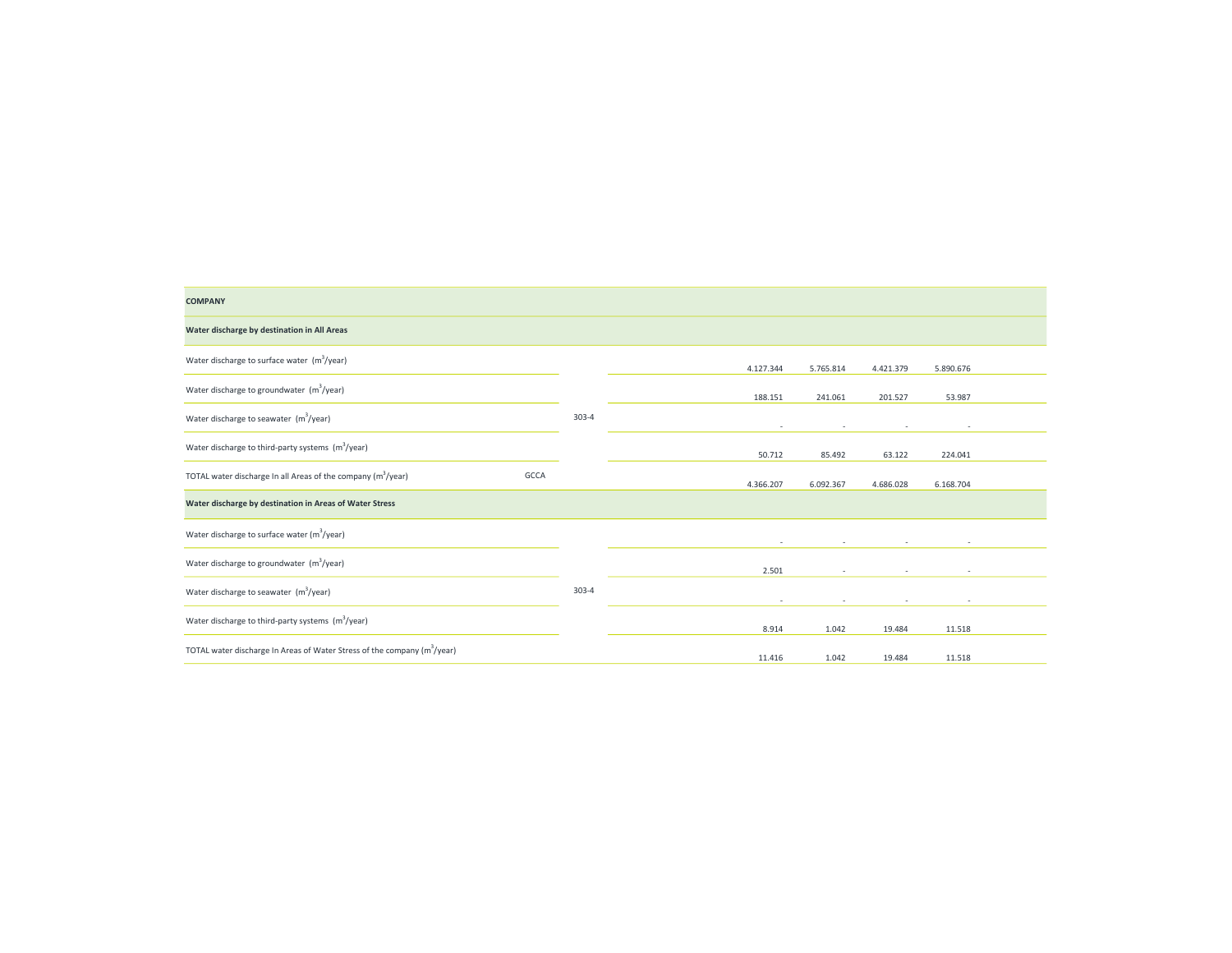| <b>COMPANY</b>                                                                       |           |           |           |           |                          |  |
|--------------------------------------------------------------------------------------|-----------|-----------|-----------|-----------|--------------------------|--|
| Water discharge by destination in All Areas                                          |           |           |           |           |                          |  |
| Water discharge to surface water $(m^3$ /year)                                       |           | 4.127.344 | 5.765.814 | 4.421.379 | 5.890.676                |  |
| Water discharge to groundwater (m <sup>3</sup> /year)                                |           | 188.151   | 241.061   | 201.527   | 53.987                   |  |
| Water discharge to seawater $(m^3$ /year)                                            | $303 - 4$ | $\sim$    | $\sim$    | ٠         | $\overline{\phantom{a}}$ |  |
| Water discharge to third-party systems $(m^3$ /year)                                 |           | 50.712    | 85.492    | 63.122    | 224.041                  |  |
| GCCA<br>TOTAL water discharge In all Areas of the company (m <sup>3</sup> /year)     |           | 4.366.207 | 6.092.367 | 4.686.028 | 6.168.704                |  |
| Water discharge by destination in Areas of Water Stress                              |           |           |           |           |                          |  |
| Water discharge to surface water (m <sup>3</sup> /year)                              |           | ٠         | $\sim$    | $\sim$    |                          |  |
| Water discharge to groundwater (m <sup>3</sup> /year)                                |           | 2.501     | $\sim$    | $\sim$    | $\overline{\phantom{a}}$ |  |
| Water discharge to seawater (m <sup>3</sup> /year)                                   | $303 - 4$ | $\sim$    | $\sim$    | $\sim$    | $\sim$                   |  |
| Water discharge to third-party systems $(m^3$ /year)                                 |           | 8.914     | 1.042     | 19.484    | 11.518                   |  |
| TOTAL water discharge In Areas of Water Stress of the company (m <sup>3</sup> /year) |           | 11.416    | 1.042     | 19.484    | 11.518                   |  |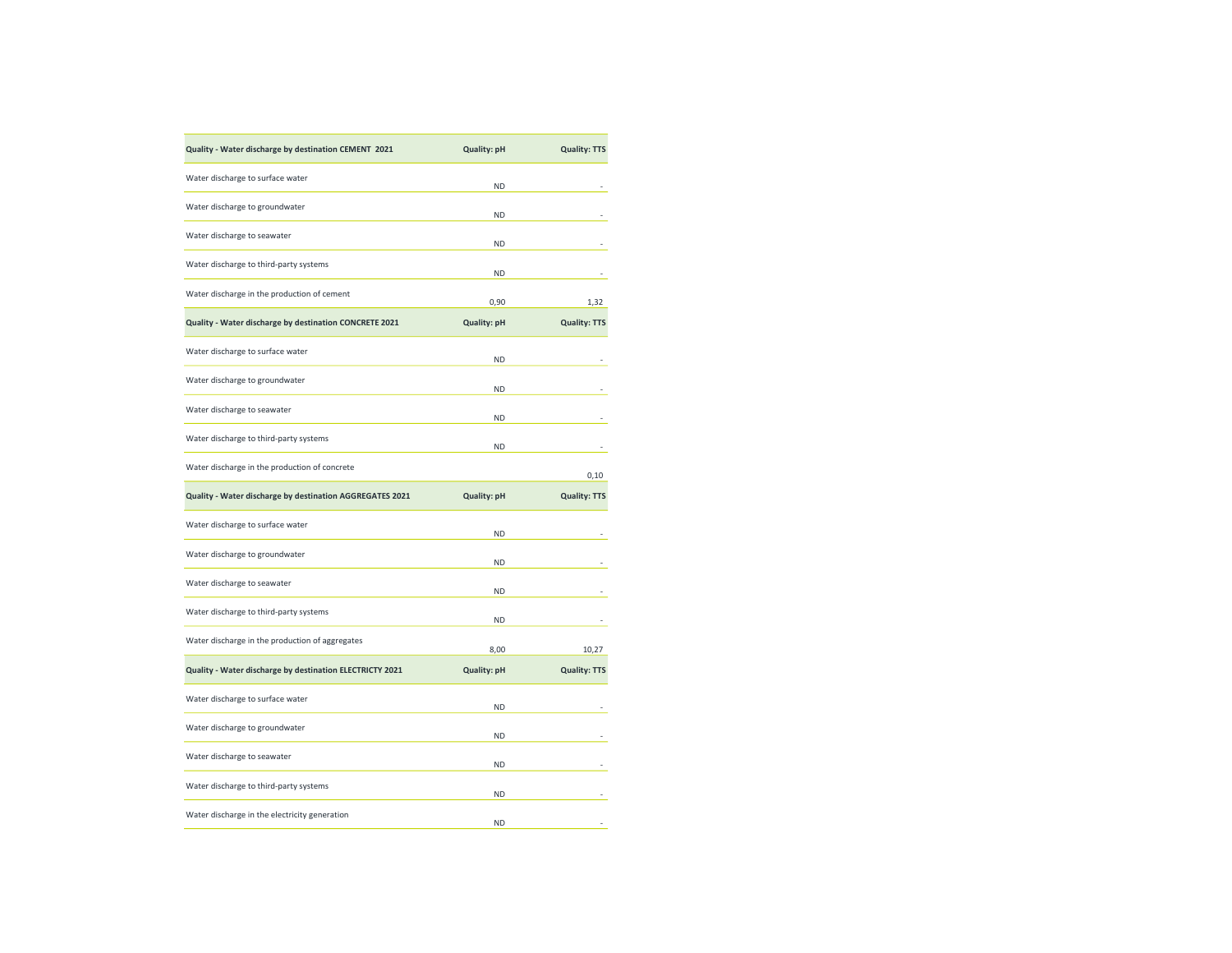| Quality - Water discharge by destination CEMENT 2021     | <b>Quality: pH</b> | <b>Quality: TTS</b> |
|----------------------------------------------------------|--------------------|---------------------|
| Water discharge to surface water                         | <b>ND</b>          |                     |
| Water discharge to groundwater                           | <b>ND</b>          |                     |
| Water discharge to seawater                              | <b>ND</b>          |                     |
| Water discharge to third-party systems                   | <b>ND</b>          |                     |
| Water discharge in the production of cement              | 0,90               | 1,32                |
| Quality - Water discharge by destination CONCRETE 2021   | <b>Quality: pH</b> | <b>Quality: TTS</b> |
| Water discharge to surface water                         | <b>ND</b>          |                     |
| Water discharge to groundwater                           | <b>ND</b>          |                     |
| Water discharge to seawater                              | <b>ND</b>          |                     |
| Water discharge to third-party systems                   | <b>ND</b>          |                     |
| Water discharge in the production of concrete            |                    | 0,10                |
|                                                          |                    |                     |
| Quality - Water discharge by destination AGGREGATES 2021 | <b>Quality: pH</b> | <b>Quality: TTS</b> |
| Water discharge to surface water                         | <b>ND</b>          |                     |
| Water discharge to groundwater                           | <b>ND</b>          |                     |
| Water discharge to seawater                              | <b>ND</b>          |                     |
| Water discharge to third-party systems                   | <b>ND</b>          |                     |
| Water discharge in the production of aggregates          | 8,00               | 10,27               |
| Quality - Water discharge by destination ELECTRICTY 2021 | <b>Quality: pH</b> | <b>Quality: TTS</b> |
| Water discharge to surface water                         | <b>ND</b>          |                     |
| Water discharge to groundwater                           | <b>ND</b>          |                     |
| Water discharge to seawater                              | <b>ND</b>          |                     |
| Water discharge to third-party systems                   | <b>ND</b>          |                     |